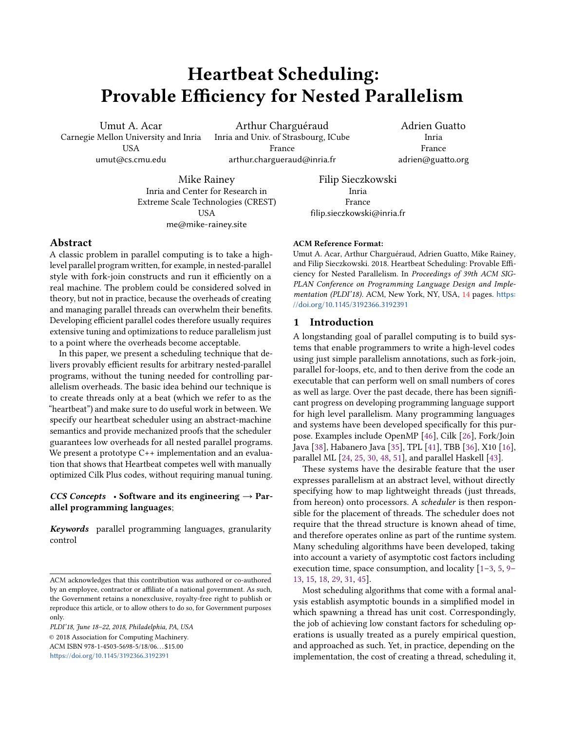# Heartbeat Scheduling: Provable Efficiency for Nested Parallelism

Umut A. Acar Carnegie Mellon University and Inria USA umut@cs.cmu.edu

Arthur Charguéraud Inria and Univ. of Strasbourg, ICube France arthur.chargueraud@inria.fr

Adrien Guatto Inria France adrien@guatto.org

Mike Rainey Inria and Center for Research in Extreme Scale Technologies (CREST) USA me@mike-rainey.site

# Abstract

A classic problem in parallel computing is to take a highlevel parallel program written, for example, in nested-parallel style with fork-join constructs and run it efficiently on a real machine. The problem could be considered solved in theory, but not in practice, because the overheads of creating and managing parallel threads can overwhelm their benefits. Developing efficient parallel codes therefore usually requires extensive tuning and optimizations to reduce parallelism just to a point where the overheads become acceptable.

In this paper, we present a scheduling technique that delivers provably efficient results for arbitrary nested-parallel programs, without the tuning needed for controlling parallelism overheads. The basic idea behind our technique is to create threads only at a beat (which we refer to as the "heartbeat") and make sure to do useful work in between. We specify our heartbeat scheduler using an abstract-machine semantics and provide mechanized proofs that the scheduler guarantees low overheads for all nested parallel programs. We present a prototype C++ implementation and an evaluation that shows that Heartbeat competes well with manually optimized Cilk Plus codes, without requiring manual tuning.

## CCS Concepts • Software and its engineering  $\rightarrow$  Parallel programming languages;

Keywords parallel programming languages, granularity control

```
PLDI'18, June 18–22, 2018, Philadelphia, PA, USA
```
© 2018 Association for Computing Machinery. ACM ISBN 978-1-4503-5698-5/18/06. . . \$15.00 <https://doi.org/10.1145/3192366.3192391>

ACM Reference Format:

Filip Sieczkowski Inria France filip.sieczkowski@inria.fr

Umut A. Acar, Arthur Charguéraud, Adrien Guatto, Mike Rainey, and Filip Sieczkowski. 2018. Heartbeat Scheduling: Provable Efficiency for Nested Parallelism. In Proceedings of 39th ACM SIG-PLAN Conference on Programming Language Design and Imple-mentation (PLDI'18). ACM, New York, NY, USA, [14](#page-13-0) pages. [https:](https://doi.org/10.1145/3192366.3192391) [//doi.org/10.1145/3192366.3192391](https://doi.org/10.1145/3192366.3192391)

## <span id="page-0-0"></span>1 Introduction

A longstanding goal of parallel computing is to build systems that enable programmers to write a high-level codes using just simple parallelism annotations, such as fork-join, parallel for-loops, etc, and to then derive from the code an executable that can perform well on small numbers of cores as well as large. Over the past decade, there has been significant progress on developing programming language support for high level parallelism. Many programming languages and systems have been developed specifically for this purpose. Examples include OpenMP [\[46\]](#page-13-1), Cilk [\[26\]](#page-12-0), Fork/Join Java [\[38\]](#page-12-1), Habanero Java [\[35\]](#page-12-2), TPL [\[41\]](#page-13-2), TBB [\[36\]](#page-12-3), X10 [\[16\]](#page-12-4), parallel ML [\[24,](#page-12-5) [25,](#page-12-6) [30,](#page-12-7) [48,](#page-13-3) [51\]](#page-13-4), and parallel Haskell [\[43\]](#page-13-5).

These systems have the desirable feature that the user expresses parallelism at an abstract level, without directly specifying how to map lightweight threads (just threads, from hereon) onto processors. A scheduler is then responsible for the placement of threads. The scheduler does not require that the thread structure is known ahead of time, and therefore operates online as part of the runtime system. Many scheduling algorithms have been developed, taking into account a variety of asymptotic cost factors including execution time, space consumption, and locality [\[1](#page-12-8)[–3,](#page-12-9) [5,](#page-12-10) [9–](#page-12-11) [13,](#page-12-12) [15,](#page-12-13) [18,](#page-12-14) [29,](#page-12-15) [31,](#page-12-16) [45\]](#page-13-6).

Most scheduling algorithms that come with a formal analysis establish asymptotic bounds in a simplified model in which spawning a thread has unit cost. Correspondingly, the job of achieving low constant factors for scheduling operations is usually treated as a purely empirical question, and approached as such. Yet, in practice, depending on the implementation, the cost of creating a thread, scheduling it,

ACM acknowledges that this contribution was authored or co-authored by an employee, contractor or affiliate of a national government. As such, the Government retains a nonexclusive, royalty-free right to publish or reproduce this article, or to allow others to do so, for Government purposes only.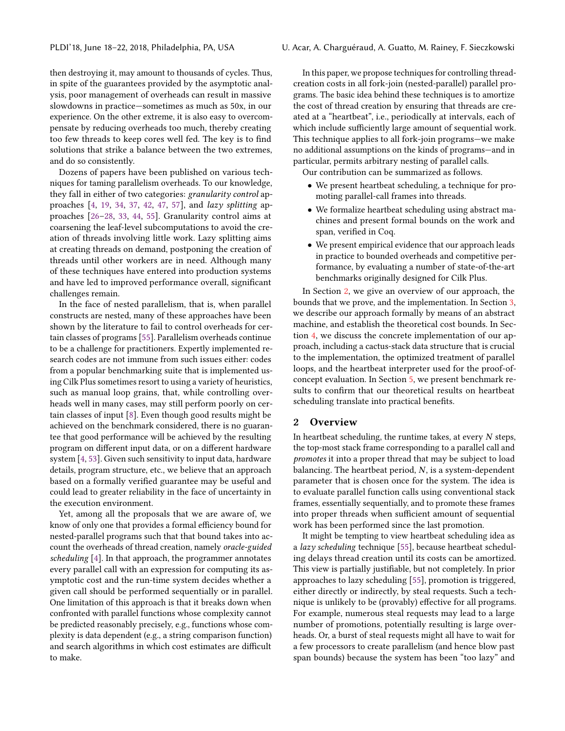then destroying it, may amount to thousands of cycles. Thus, in spite of the guarantees provided by the asymptotic analysis, poor management of overheads can result in massive slowdowns in practice—sometimes as much as 50x, in our experience. On the other extreme, it is also easy to overcompensate by reducing overheads too much, thereby creating too few threads to keep cores well fed. The key is to find solutions that strike a balance between the two extremes, and do so consistently.

Dozens of papers have been published on various techniques for taming parallelism overheads. To our knowledge, they fall in either of two categories: granularity control approaches [\[4,](#page-12-17) [19,](#page-12-18) [34,](#page-12-19) [37,](#page-12-20) [42,](#page-13-7) [47,](#page-13-8) [57\]](#page-13-9), and lazy splitting approaches [\[26–](#page-12-0)[28,](#page-12-21) [33,](#page-12-22) [44,](#page-13-10) [55\]](#page-13-11). Granularity control aims at coarsening the leaf-level subcomputations to avoid the creation of threads involving little work. Lazy splitting aims at creating threads on demand, postponing the creation of threads until other workers are in need. Although many of these techniques have entered into production systems and have led to improved performance overall, significant challenges remain.

In the face of nested parallelism, that is, when parallel constructs are nested, many of these approaches have been shown by the literature to fail to control overheads for certain classes of programs [\[55\]](#page-13-11). Parallelism overheads continue to be a challenge for practitioners. Expertly implemented research codes are not immune from such issues either: codes from a popular benchmarking suite that is implemented using Cilk Plus sometimes resort to using a variety of heuristics, such as manual loop grains, that, while controlling overheads well in many cases, may still perform poorly on certain classes of input [\[8\]](#page-12-23). Even though good results might be achieved on the benchmark considered, there is no guarantee that good performance will be achieved by the resulting program on different input data, or on a different hardware system [\[4,](#page-12-17) [53\]](#page-13-12). Given such sensitivity to input data, hardware details, program structure, etc., we believe that an approach based on a formally verified guarantee may be useful and could lead to greater reliability in the face of uncertainty in the execution environment.

Yet, among all the proposals that we are aware of, we know of only one that provides a formal efficiency bound for nested-parallel programs such that that bound takes into account the overheads of thread creation, namely oracle-guided scheduling [\[4\]](#page-12-17). In that approach, the programmer annotates every parallel call with an expression for computing its asymptotic cost and the run-time system decides whether a given call should be performed sequentially or in parallel. One limitation of this approach is that it breaks down when confronted with parallel functions whose complexity cannot be predicted reasonably precisely, e.g., functions whose complexity is data dependent (e.g., a string comparison function) and search algorithms in which cost estimates are difficult to make.

In this paper, we propose techniques for controlling threadcreation costs in all fork-join (nested-parallel) parallel programs. The basic idea behind these techniques is to amortize the cost of thread creation by ensuring that threads are created at a "heartbeat", i.e., periodically at intervals, each of which include sufficiently large amount of sequential work. This technique applies to all fork-join programs—we make no additional assumptions on the kinds of programs—and in particular, permits arbitrary nesting of parallel calls.

Our contribution can be summarized as follows.

- We present heartbeat scheduling, a technique for promoting parallel-call frames into threads.
- We formalize heartbeat scheduling using abstract machines and present formal bounds on the work and span, verified in Coq.
- We present empirical evidence that our approach leads in practice to bounded overheads and competitive performance, by evaluating a number of state-of-the-art benchmarks originally designed for Cilk Plus.

In Section [2,](#page-1-0) we give an overview of our approach, the bounds that we prove, and the implementation. In Section [3,](#page-2-0) we describe our approach formally by means of an abstract machine, and establish the theoretical cost bounds. In Section [4,](#page-6-0) we discuss the concrete implementation of our approach, including a cactus-stack data structure that is crucial to the implementation, the optimized treatment of parallel loops, and the heartbeat interpreter used for the proof-ofconcept evaluation. In Section [5,](#page-7-0) we present benchmark results to confirm that our theoretical results on heartbeat scheduling translate into practical benefits.

## <span id="page-1-0"></span>2 Overview

In heartbeat scheduling, the runtime takes, at every  $N$  steps, the top-most stack frame corresponding to a parallel call and promotes it into a proper thread that may be subject to load balancing. The heartbeat period, N, is a system-dependent parameter that is chosen once for the system. The idea is to evaluate parallel function calls using conventional stack frames, essentially sequentially, and to promote these frames into proper threads when sufficient amount of sequential work has been performed since the last promotion.

It might be tempting to view heartbeat scheduling idea as a lazy scheduling technique [\[55\]](#page-13-11), because heartbeat scheduling delays thread creation until its costs can be amortized. This view is partially justifiable, but not completely. In prior approaches to lazy scheduling [\[55\]](#page-13-11), promotion is triggered, either directly or indirectly, by steal requests. Such a technique is unlikely to be (provably) effective for all programs. For example, numerous steal requests may lead to a large number of promotions, potentially resulting is large overheads. Or, a burst of steal requests might all have to wait for a few processors to create parallelism (and hence blow past span bounds) because the system has been "too lazy" and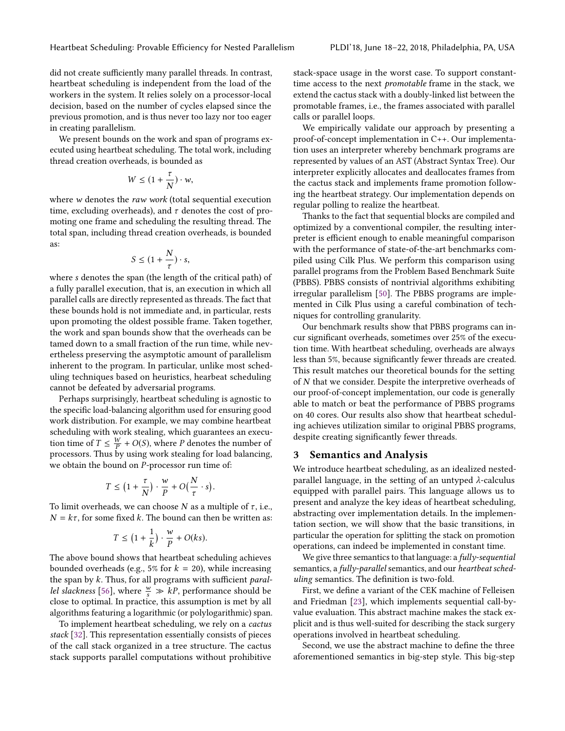did not create sufficiently many parallel threads. In contrast, heartbeat scheduling is independent from the load of the workers in the system. It relies solely on a processor-local decision, based on the number of cycles elapsed since the previous promotion, and is thus never too lazy nor too eager in creating parallelism.

We present bounds on the work and span of programs executed using heartbeat scheduling. The total work, including thread creation overheads, is bounded as

$$
W \leq (1 + \frac{\tau}{N}) \cdot w,
$$

where w denotes the *raw work* (total sequential execution<br>time excluding overheads), and  $\tau$  denotes the cost of protime, excluding overheads), and  $\tau$  denotes the cost of promoting one frame and scheduling the resulting thread. The total span, including thread creation overheads, is bounded as:

$$
S\leq (1+\frac{N}{\tau})\cdot s,
$$

where s denotes the span (the length of the critical path) of<br>a fully parallel execution, that is, an execution in which all a fully parallel execution, that is, an execution in which all parallel calls are directly represented as threads. The fact that these bounds hold is not immediate and, in particular, rests upon promoting the oldest possible frame. Taken together, the work and span bounds show that the overheads can be tamed down to a small fraction of the run time, while nevertheless preserving the asymptotic amount of parallelism inherent to the program. In particular, unlike most scheduling techniques based on heuristics, hearbeat scheduling cannot be defeated by adversarial programs.

Perhaps surprisingly, heartbeat scheduling is agnostic to the specific load-balancing algorithm used for ensuring good work distribution. For example, we may combine heartbeat scheduling with work stealing, which guarantees an execution time of  $T \leq \frac{W}{P} + O(S)$ , where P denotes the number of processors. Thus by using work stealing for load balancing processors. Thus by using work stealing for load balancing, we obtain the bound on P-processor run time of:

$$
T \leq \left(1 + \frac{\tau}{N}\right) \cdot \frac{w}{P} + O\left(\frac{N}{\tau} \cdot s\right)
$$

To limit overheads, we can choose N as a multiple of  $\tau$ , i.e.,<br> $N = k\tau$  for some fixed k. The bound can then be written as:  $N = k\tau$ , for some fixed k. The bound can then be written as:

$$
T \le \left(1 + \frac{1}{k}\right) \cdot \frac{w}{P} + O(ks).
$$

k P The above bound shows that heartbeat scheduling achieves bounded overheads (e.g., 5% for  $k = 20$ ), while increasing the span by k. Thus, for all programs with sufficient paral*lel slackness* [\[56\]](#page-13-13), where  $\frac{w}{s} \gg kP$ , performance should be close to optimal. In practice, this assumption is met by all close to optimal. In practice, this assumption is met by all algorithms featuring a logarithmic (or polylogarithmic) span.

To implement heartbeat scheduling, we rely on a cactus stack [\[32\]](#page-12-24). This representation essentially consists of pieces of the call stack organized in a tree structure. The cactus stack supports parallel computations without prohibitive

stack-space usage in the worst case. To support constanttime access to the next promotable frame in the stack, we extend the cactus stack with a doubly-linked list between the promotable frames, i.e., the frames associated with parallel calls or parallel loops.

We empirically validate our approach by presenting a proof-of-concept implementation in C++. Our implementation uses an interpreter whereby benchmark programs are represented by values of an AST (Abstract Syntax Tree). Our interpreter explicitly allocates and deallocates frames from the cactus stack and implements frame promotion following the heartbeat strategy. Our implementation depends on regular polling to realize the heartbeat.

Thanks to the fact that sequential blocks are compiled and optimized by a conventional compiler, the resulting interpreter is efficient enough to enable meaningful comparison with the performance of state-of-the-art benchmarks compiled using Cilk Plus. We perform this comparison using parallel programs from the Problem Based Benchmark Suite (PBBS). PBBS consists of nontrivial algorithms exhibiting irregular parallelism [\[50\]](#page-13-14). The PBBS programs are implemented in Cilk Plus using a careful combination of techniques for controlling granularity.

Our benchmark results show that PBBS programs can incur significant overheads, sometimes over 25% of the execution time. With heartbeat scheduling, overheads are always less than 5%, because significantly fewer threads are created. This result matches our theoretical bounds for the setting of N that we consider. Despite the interpretive overheads of our proof-of-concept implementation, our code is generally able to match or beat the performance of PBBS programs on 40 cores. Our results also show that heartbeat scheduling achieves utilization similar to original PBBS programs, despite creating significantly fewer threads.

# <span id="page-2-0"></span>3 Semantics and Analysis

We introduce heartbeat scheduling, as an idealized nestedparallel language, in the setting of an untyped λ-calculus equipped with parallel pairs. This language allows us to present and analyze the key ideas of heartbeat scheduling, abstracting over implementation details. In the implementation section, we will show that the basic transitions, in particular the operation for splitting the stack on promotion operations, can indeed be implemented in constant time.

We give three semantics to that language: a fully-sequential semantics, a fully-parallel semantics, and our heartbeat scheduling semantics. The definition is two-fold.

First, we define a variant of the CEK machine of Felleisen and Friedman [\[23\]](#page-12-25), which implements sequential call-byvalue evaluation. This abstract machine makes the stack explicit and is thus well-suited for describing the stack surgery operations involved in heartbeat scheduling.

Second, we use the abstract machine to define the three aforementioned semantics in big-step style. This big-step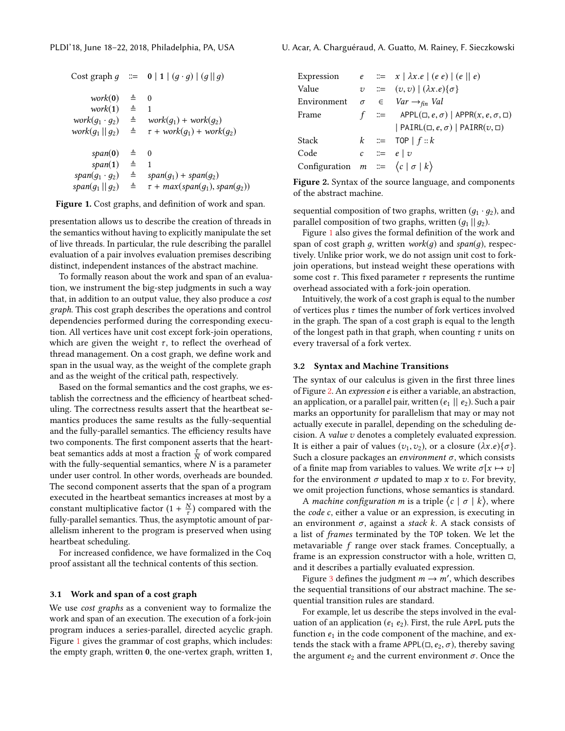```
Cost graph g \equiv 0 | 1 | (g \cdot g) | (g || g)work(0) \triangleq 0work(1) \triangleq 1work(g_1 \cdot g_2) \triangleq work(g_1) + work(g_2)<br>work(g_1 || g_2) \triangleq \tau + work(g_1) + work\tau + \text{work}(q_1) + \text{work}(q_2)span(0) \triangleq 0
         span(1) \triangleq 1
span(g_1 \cdot g_2) \triangleq span(g_1) + span(g_2)<br>
span(g_1 || g_2) \triangleq \tau + max(span(g_1), s)\tau + max(span(g_1), span(g_2))
```
Figure 1. Cost graphs, and definition of work and span.

presentation allows us to describe the creation of threads in the semantics without having to explicitly manipulate the set of live threads. In particular, the rule describing the parallel evaluation of a pair involves evaluation premises describing distinct, independent instances of the abstract machine.

To formally reason about the work and span of an evaluation, we instrument the big-step judgments in such a way that, in addition to an output value, they also produce a cost graph. This cost graph describes the operations and control dependencies performed during the corresponding execution. All vertices have unit cost except fork-join operations, which are given the weight  $\tau$ , to reflect the overhead of thread management. On a cost graph, we define work and span in the usual way, as the weight of the complete graph and as the weight of the critical path, respectively.

Based on the formal semantics and the cost graphs, we establish the correctness and the efficiency of heartbeat scheduling. The correctness results assert that the heartbeat semantics produces the same results as the fully-sequential and the fully-parallel semantics. The efficiency results have two components. The first component asserts that the heartbeat semantics adds at most a fraction  $\frac{\tau}{N}$  of work compared with the fully-sequential semantics, where N is a parameter<br>under user control. In other words, overheads are bounded under user control. In other words, overheads are bounded. The second component asserts that the span of a program executed in the heartbeat semantics increases at most by a constant multiplicative factor  $(1 + \frac{N}{\tau})$  compared with the fully-parallel semantics. Thus, the asymptotic amount of parallelism inherent to the program is preserved when using heartbeat scheduling.

For increased confidence, we have formalized in the Coq proof assistant all the technical contents of this section.

#### <span id="page-3-2"></span>3.1 Work and span of a cost graph

We use cost graphs as a convenient way to formalize the work and span of an execution. The execution of a fork-join program induces a series-parallel, directed acyclic graph. Figure [1](#page-3-0) gives the grammar of cost graphs, which includes: the empty graph, written 0, the one-vertex graph, written 1,

<span id="page-3-1"></span>

|                                                     |  | Expression $e := x   \lambda x . e   (e e)   (e    e)$         |
|-----------------------------------------------------|--|----------------------------------------------------------------|
| Value                                               |  | $v \coloneqq (v, v)   (\lambda x. e) \{\sigma\}$               |
| Environment                                         |  | $\sigma \in Var \rightarrow_{fin} Val$                         |
| Frame                                               |  | $f$ ::= APPL $(\Box, e, \sigma)$   APPR $(x, e, \sigma, \Box)$ |
|                                                     |  | $ $ PAIRL $(\Box, e, \sigma)$   PAIRR $(v, \Box)$              |
| Stack                                               |  | $k \equiv \text{TOP}   f : k$                                  |
| Code                                                |  | $c \cong e   v$                                                |
| Configuration $m := \langle c   \sigma   k \rangle$ |  |                                                                |
|                                                     |  |                                                                |

Figure 2. Syntax of the source language, and components of the abstract machine.

sequential composition of two graphs, written  $(q_1 \cdot q_2)$ , and parallel composition of two graphs, written  $(g_1 || g_2)$ .

Figure [1](#page-3-0) also gives the formal definition of the work and span of cost graph  $g$ , written work( $g$ ) and span( $g$ ), respectively. Unlike prior work, we do not assign unit cost to forkjoin operations, but instead weight these operations with some cost  $\tau$ . This fixed parameter  $\tau$  represents the runtime overhead associated with a fork-join operation.

Intuitively, the work of a cost graph is equal to the number of vertices plus  $\tau$  times the number of fork vertices involved in the graph. The span of a cost graph is equal to the length of the longest path in that graph, when counting  $\tau$  units on every traversal of a fork vertex.

## 3.2 Syntax and Machine Transitions

The syntax of our calculus is given in the first three lines of Figure [2.](#page-3-1) An expression e is either a variable, an abstraction, an application, or a parallel pair, written  $(e_1 || e_2)$ . Such a pair marks an opportunity for parallelism that may or may not actually execute in parallel, depending on the scheduling decision. A value  $v$  denotes a completely evaluated expression. It is either a pair of values  $(v_1, v_2)$ , or a closure  $(\lambda x. e)(\sigma)$ . Such a closure packages an *environment*  $\sigma$ , which consists of a finite map from variables to values. We write  $\sigma[x \mapsto v]$ for the environment  $\sigma$  updated to map x to v. For brevity, we omit projection functions, whose semantics is standard.

A machine configuration m is a triple  $\langle c | \sigma | k \rangle$ , where the code c, either a value or an expression, is executing in an environment  $\sigma$ , against a stack k. A stack consists of a list of frames terminated by the TOP token. We let the metavariable f range over stack frames. Conceptually, a frame is an expression constructor with a hole, written □, and it describes a partially evaluated expression.

Figure [3](#page-4-0) defines the judgment  $m \rightarrow m'$ , which describes<br>a sequential transitions of our abstract machine. The sequential the sequential transitions of our abstract machine. The sequential transition rules are standard.

For example, let us describe the steps involved in the evaluation of an application ( $e_1$   $e_2$ ). First, the rule AppL puts the function  $e_1$  in the code component of the machine, and extends the stack with a frame APPL( $\Box$ ,  $e_2$ ,  $\sigma$ ), thereby saving the argument  $e_2$  and the current environment  $\sigma$ . Once the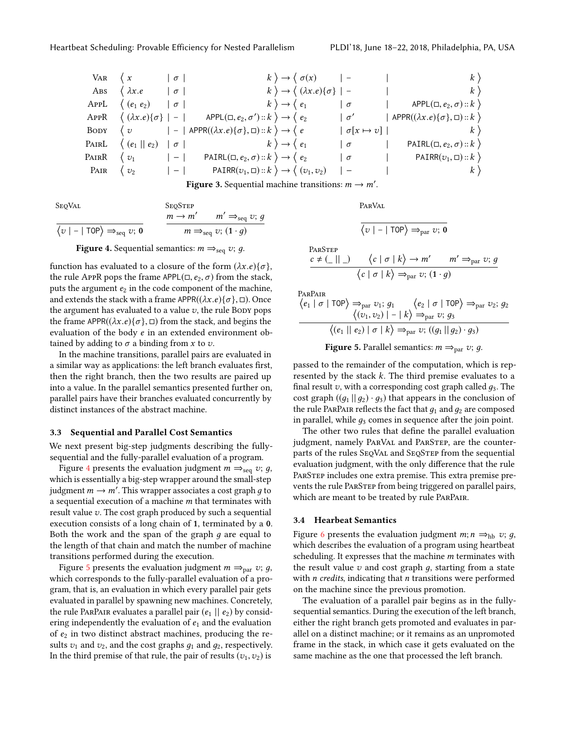<span id="page-4-0"></span>Heartbeat Scheduling: Provable Efficiency for Nested Parallelism PLDI'18, June 18–22, 2018, Philadelphia, PA, USA

| Var  | $\langle x \mid \sigma \mid$                                                                                                                                                                                | $k \rangle \rightarrow \langle \sigma(x) \mid -$                                                                                                                                                                                                                                                                                                                                                                                                                                                                                                                                                                                                                                                                                                | $k \rangle$                          |
|------|-------------------------------------------------------------------------------------------------------------------------------------------------------------------------------------------------------------|-------------------------------------------------------------------------------------------------------------------------------------------------------------------------------------------------------------------------------------------------------------------------------------------------------------------------------------------------------------------------------------------------------------------------------------------------------------------------------------------------------------------------------------------------------------------------------------------------------------------------------------------------------------------------------------------------------------------------------------------------|--------------------------------------|
| ABS  | $\langle \lambda x.e \mid \sigma \mid$                                                                                                                                                                      | $k \rangle \rightarrow \langle (\lambda x.e)(\sigma \mid -$                                                                                                                                                                                                                                                                                                                                                                                                                                                                                                                                                                                                                                                                                     | $k \rangle$                          |
| APPL | $\langle (e_1 e_2) \mid \sigma \mid$                                                                                                                                                                        | $k \rangle \rightarrow \langle e_1 \mid \sigma \mid$                                                                                                                                                                                                                                                                                                                                                                                                                                                                                                                                                                                                                                                                                            | APPL(\Box, e_2, \sigma) :: k \rangle |
| APPR | $\langle (\lambda x.e)(\sigma \mid - \mid \text{APPL}(\Box, e_2, \sigma') :: k \rangle \rightarrow \langle e_2 \mid \sigma' \mid \text{APPR}((\lambda x.e)(\sigma \mid, \Box) :: k \rangle \land \text{Q})$ |                                                                                                                                                                                                                                                                                                                                                                                                                                                                                                                                                                                                                                                                                                                                                 |                                      |
| BoDY | $\langle v \mid - \mid \text{APPR}((\lambda x.e)(\sigma \mid, \Box) :: k \rangle \rightarrow \langle e \mid \text{Q} \mid x \rightarrow v \mid \mid$                                                        | $k \rangle \rightarrow \langle e_1 \mid \text{Q} \mid \text{Q} \mid \text{Q} \mid \text{Q} \mid \text{Q} \mid \text{Q} \mid \text{Q} \mid \text{Q} \mid \text{Q} \mid \text{Q} \mid \text{Q} \mid \text{Q} \mid \text{Q} \mid \text{Q} \mid \text{Q} \mid \text{Q} \mid \text{Q} \mid \text{Q} \mid \text{Q} \mid \text{Q} \mid \text{Q} \mid \text{Q} \mid \text{Q} \mid \text{Q} \mid \text{Q} \mid \text{Q} \mid \text{Q} \mid \text{Q} \mid \text{Q} \mid \text{Q} \mid \text{Q} \mid \text{Q} \mid \text{Q} \mid \text{Q} \mid \text{Q} \mid \text{Q} \mid \text{Q} \mid \text{Q} \mid \text{Q} \mid \text{Q} \mid \text{Q} \mid \text{Q} \mid \text{Q} \mid \text{Q} \mid \text{Q} \mid \text{Q} \mid \text{Q} \mid \text{Q} \mid \text{$ |                                      |

**Figure 3.** Sequential machine transitions:  $m \rightarrow m'$ .

<span id="page-4-1"></span>Step 8EQVAL

\n
$$
\frac{\text{Step 3} \times \text{Step 4} \times \text{Step 5}}{\langle v \mid - \mid \text{TOP} \rangle \Rightarrow_{\text{seq}} v; \mathbf{0}} \quad \frac{m \rightarrow m' \quad m' \Rightarrow_{\text{seq}} v; \mathbf{0}}{m \Rightarrow_{\text{seq}} v; \left(1 \cdot g\right)}
$$

**Figure 4.** Sequential semantics:  $m \Rightarrow_{\text{seq}} v$ ; g.

function has evaluated to a closure of the form  $(\lambda x.e)\{\sigma\}$ , the rule AppR pops the frame APPL( $\Box$ ,  $e_2$ ,  $\sigma$ ) from the stack, puts the argument  $e_2$  in the code component of the machine, and extends the stack with a frame APPR( $(\lambda x.e)\{\sigma\}$ ,  $\Box$ ). Once the argument has evaluated to a value  $v$ , the rule Body pops the frame APPR( $(\lambda x.e)$ { $\sigma$ },  $\Box$ ) from the stack, and begins the evaluation of the body e in an extended environment obtained by adding to  $\sigma$  a binding from x to v.

In the machine transitions, parallel pairs are evaluated in a similar way as applications: the left branch evaluates first, then the right branch, then the two results are paired up into a value. In the parallel semantics presented further on, parallel pairs have their branches evaluated concurrently by distinct instances of the abstract machine.

#### 3.3 Sequential and Parallel Cost Semantics

We next present big-step judgments describing the fullysequential and the fully-parallel evaluation of a program.

Figure [4](#page-4-1) presents the evaluation judgment  $m \Rightarrow_{\text{seq}} v; g$ , which is essentially a big-step wrapper around the small-step judgment  $m \to m'$ . This wrapper associates a cost graph g to a sequential execution of a machine m that terminates with a sequential execution of a machine m that terminates with result value  $v$ . The cost graph produced by such a sequential execution consists of a long chain of 1, terminated by a 0. Both the work and the span of the graph  $q$  are equal to the length of that chain and match the number of machine transitions performed during the execution.

Figure [5](#page-4-2) presents the evaluation judgment  $m \Rightarrow_{\text{par}} v$ ; g, which corresponds to the fully-parallel evaluation of a program, that is, an evaluation in which every parallel pair gets evaluated in parallel by spawning new machines. Concretely, the rule PARPAIR evaluates a parallel pair  $(e_1 || e_2)$  by considering independently the evaluation of  $e_1$  and the evaluation of  $e_2$  in two distinct abstract machines, producing the results  $v_1$  and  $v_2$ , and the cost graphs  $g_1$  and  $g_2$ , respectively. In the third premise of that rule, the pair of results  $(v_1, v_2)$  is

PARVAL

$$
\langle v | - | \text{TOP} \rangle \Rightarrow_{\text{par}} v; \mathbf{0}
$$

<span id="page-4-2"></span>PARSTEP  
\n
$$
\frac{c \neq (\_ || \_ ) \quad \langle c \mid \sigma \mid k \rangle \rightarrow m' \quad m' \Rightarrow_{\text{par}} v; g}{\langle c \mid \sigma \mid k \rangle \Rightarrow_{\text{par}} v; (1 \cdot g)}
$$

ParPair

$$
\langle e_1 | \sigma | \text{TOP} \rangle \Rightarrow_{\text{par}} v_1; g_1 \quad \langle e_2 | \sigma | \text{TOP} \rangle \Rightarrow_{\text{par}} v_2; g_2
$$

$$
\langle (v_1, v_2) | - | k \rangle \Rightarrow_{\text{par}} v; g_3
$$

$$
\langle (e_1 || e_2) | \sigma | k \rangle \Rightarrow_{\text{par}} v; ((g_1 || g_2) \cdot g_3)
$$

**Figure 5.** Parallel semantics:  $m \Rightarrow_{\text{par}} v$ ; g.

passed to the remainder of the computation, which is represented by the stack  $k$ . The third premise evaluates to a final result v, with a corresponding cost graph called  $q_3$ . The cost graph  $((q_1 || q_2) \cdot q_3)$  that appears in the conclusion of the rule PARPAIR reflects the fact that  $q_1$  and  $q_2$  are composed in parallel, while  $q_3$  comes in sequence after the join point.

The other two rules that define the parallel evaluation judgment, namely PARVAL and PARSTEP, are the counterparts of the rules SEQVAL and SEQSTEP from the sequential evaluation judgment, with the only difference that the rule PARSTEP includes one extra premise. This extra premise prevents the rule PARSTEP from being triggered on parallel pairs, which are meant to be treated by rule ParPair.

#### <span id="page-4-3"></span>3.4 Hearbeat Semantics

Figure [6](#page-5-0) presents the evaluation judgment  $m; n \Rightarrow_{hb} v; q$ , which describes the evaluation of a program using heartbeat scheduling. It expresses that the machine m terminates with the result value  $v$  and cost graph  $q$ , starting from a state with  $n$  credits, indicating that  $n$  transitions were performed on the machine since the previous promotion.

The evaluation of a parallel pair begins as in the fullysequential semantics. During the execution of the left branch, either the right branch gets promoted and evaluates in parallel on a distinct machine; or it remains as an unpromoted frame in the stack, in which case it gets evaluated on the same machine as the one that processed the left branch.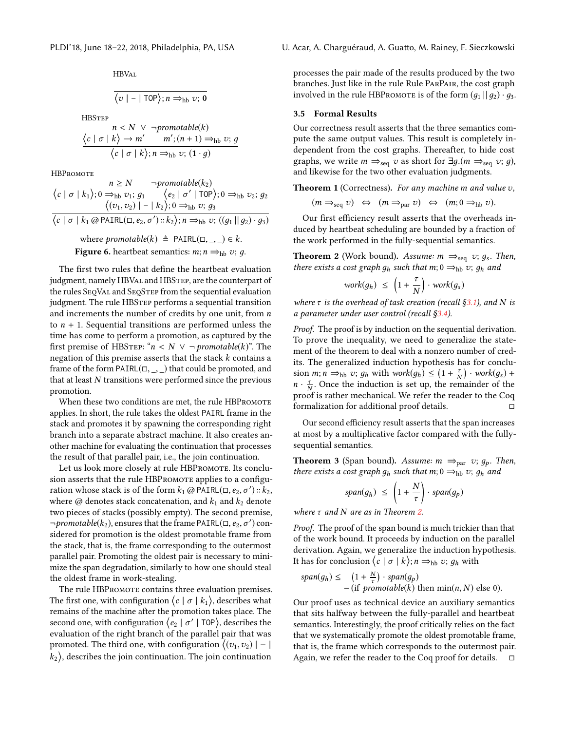HBVal

$$
\overline{\langle v | - | \text{TOP} \rangle}; n \Rightarrow_{\text{hb}} v; \mathbf{0}
$$

<span id="page-5-0"></span>**HBSTEP** 

$$
n < N \lor \neg \text{promotable}(k)
$$
\n
$$
\langle c \mid \sigma \mid k \rangle \to m' \qquad m'; (n+1) \Rightarrow_{\text{hb}} v; g
$$
\n
$$
\langle c \mid \sigma \mid k \rangle; n \Rightarrow_{\text{hb}} v; (1 \cdot g)
$$

**HBPROMOTE** 

$$
n \ge N \qquad \neg \text{promotable}(k_2)
$$
\n
$$
\langle c \mid \sigma \mid k_1 \rangle; 0 \Rightarrow_{\text{hb}} v_1; g_1 \qquad \langle e_2 \mid \sigma' \mid \text{TOP} \rangle; 0 \Rightarrow_{\text{hb}} v_2; g_2
$$
\n
$$
\langle (v_1, v_2) \mid - \mid k_2 \rangle; 0 \Rightarrow_{\text{hb}} v; g_3
$$
\n
$$
\langle c \mid \sigma \mid k_1 \text{ @PATHL(\Box, e_2, \sigma') :: k_2} \rangle; n \Rightarrow_{\text{hb}} v; ((g_1 \mid g_2) \cdot g_3)
$$

where promotable(k)  $\triangleq$  PAIRL( $\Box$ ,  $\Box$ )  $\in$  k. **Figure 6.** heartbeat semantics:  $m; n \Rightarrow$ <sub>hb</sub> v; q.

The first two rules that define the heartbeat evaluation judgment, namely HBVAL and HBSTEP, are the counterpart of the rules SeqVal and SeqStep from the sequential evaluation judgment. The rule HBSTEP performs a sequential transition and increments the number of credits by one unit, from n to  $n + 1$ . Sequential transitions are performed unless the time has come to perform a promotion, as captured by the first premise of HBSTEP: " $n < N \vee \neg$  promotable(k)". The negation of this premise asserts that the stack k contains a frame of the form  $\text{PAIRL}(\Box, \Box, \Box)$  that could be promoted, and that at least N transitions were performed since the previous promotion.

When these two conditions are met, the rule HBPROMOTE applies. In short, the rule takes the oldest PAIRL frame in the stack and promotes it by spawning the corresponding right branch into a separate abstract machine. It also creates another machine for evaluating the continuation that processes the result of that parallel pair, i.e., the join continuation.

Let us look more closely at rule HBPROMOTE. Its conclusion asserts that the rule HBPROMOTE applies to a configuration whose stack is of the form  $k_1 \oplus \text{PAIRL}(\Box, e_2, \sigma') :: k_2$ ,<br>where  $\bigcirc$  denotes stack concatenation, and  $k_2$  and  $k_3$  denotes where  $\omega$  denotes stack concatenation, and  $k_1$  and  $k_2$  denote two pieces of stacks (possibly empty). The second premise,  $\neg promptable(k_2)$ , ensures that the frame PAIRL( $\Box$ ,  $e_2$ ,  $\sigma'$ ) considered for promotion is the oldest promotion frame from sidered for promotion is the oldest promotable frame from the stack, that is, the frame corresponding to the outermost parallel pair. Promoting the oldest pair is necessary to minimize the span degradation, similarly to how one should steal the oldest frame in work-stealing.

The rule HBPROMOTE contains three evaluation premises. The first one, with configuration  $\langle c | \sigma | k_1 \rangle$ , describes what remains of the machine after the promotion takes place. The remains of the machine after the promotion takes place. The second one, with configuration  $\langle \overline{e}_2 | \sigma' |$  TOP), describes the evaluation of the right branch of the parallel pair that was evaluation of the right branch of the parallel pair that was promoted. The third one, with configuration  $((v_1, v_2) \mid - \mid$  $\langle k_2 \rangle$ , describes the join continuation. The join continuation

processes the pair made of the results produced by the two branches. Just like in the rule Rule ParPair, the cost graph involved in the rule HBPROMOTE is of the form  $(q_1 || q_2) \cdot q_3$ .

#### 3.5 Formal Results

Our correctness result asserts that the three semantics compute the same output values. This result is completely independent from the cost graphs. Thereafter, to hide cost graphs, we write  $m \Rightarrow_{\text{seq}} v$  as short for  $\exists g.(m \Rightarrow_{\text{seq}} v; g)$ , and likewise for the two other evaluation judgments.

**Theorem 1** (Correctness). For any machine m and value  $v$ ,

$$
(m \Rightarrow_{\text{seq}} v) \Leftrightarrow (m \Rightarrow_{\text{par}} v) \Leftrightarrow (m; 0 \Rightarrow_{\text{hb}} v).
$$

Our first efficiency result asserts that the overheads induced by heartbeat scheduling are bounded by a fraction of the work performed in the fully-sequential semantics.

<span id="page-5-1"></span>**Theorem 2** (Work bound). Assume:  $m \Rightarrow_{seq} v$ ;  $g_s$ . Then, there exists a cost graph as such that  $m: 0 \Rightarrow_{old} v$ , and there exists a cost graph  $g_h$  such that  $m; 0 \Rightarrow_{hb} v; g_h$  and

$$
work(g_h) \leq \left(1 + \frac{\tau}{N}\right) \cdot work(g_s)
$$

where  $\tau$  is the overhead of task creation (recall  $\S3.1$ ), and N is a parameter under user control (recall [§3.4\)](#page-4-3).

Proof. The proof is by induction on the sequential derivation. To prove the inequality, we need to generalize the statement of the theorem to deal with a nonzero number of credits. The generalized induction hypothesis has for conclusion  $m; n \Rightarrow$ hb v;  $g_h$  with work $(g_h) \leq (1 + \frac{\tau}{N}) \cdot \text{work}(g_s) + n \cdot \frac{\tau}{N}$ . Once the induction is set up the remainder of the  $n \cdot \frac{\tau}{N}$ . Once the induction is set up, the remainder of the roof is rather mechanical. We refer the reader to the Coo proof is rather mechanical. We refer the reader to the Coq formalization for additional proof details. □

Our second efficiency result asserts that the span increases at most by a multiplicative factor compared with the fullysequential semantics.

**Theorem 3** (Span bound). Assume:  $m \implies p_{\text{par}} v; g_p$ . Then, there exists a cost graph  $g_h$  such that  $m; 0 \Rightarrow_{hb} v; g_h$  and

$$
span(g_h) \leq \left(1+\frac{N}{\tau}\right) \cdot span(g_p)
$$

where  $\tau$  and N are as in Theorem [2.](#page-5-1)

Proof. The proof of the span bound is much trickier than that of the work bound. It proceeds by induction on the parallel derivation. Again, we generalize the induction hypothesis. It has for conclusion  $\langle c | \sigma | k \rangle$ ;  $n \Rightarrow_{\text{hb}} v$ ;  $g_h$  with

$$
span(g_h) \leq (1 + \frac{N}{\tau}) \cdot span(g_p)
$$
  
-(if *promotable(k)* then min(n, N) else 0).  
Our proof uses as technical device an auxiliary semantics

that sits halfway between the fully-parallel and heartbeat semantics. Interestingly, the proof critically relies on the fact that we systematically promote the oldest promotable frame, that is, the frame which corresponds to the outermost pair. Again, we refer the reader to the Coq proof for details.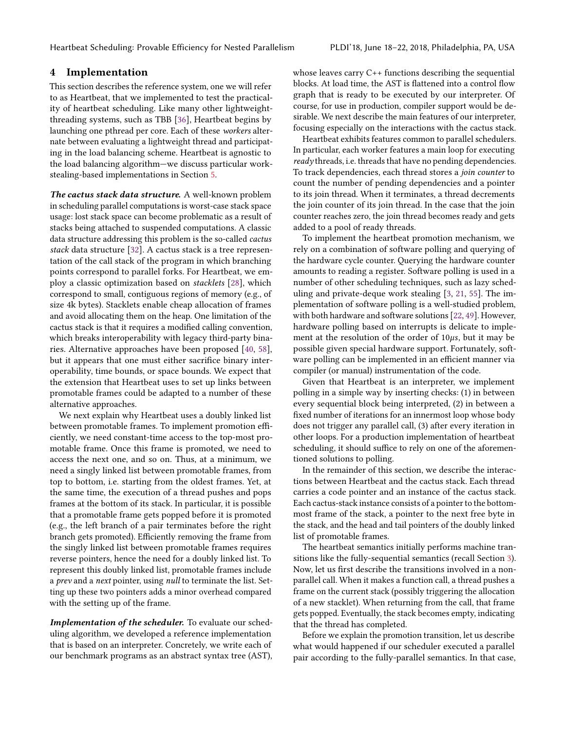# <span id="page-6-0"></span>4 Implementation

This section describes the reference system, one we will refer to as Heartbeat, that we implemented to test the practicality of heartbeat scheduling. Like many other lightweightthreading systems, such as TBB [\[36\]](#page-12-3), Heartbeat begins by launching one pthread per core. Each of these workers alternate between evaluating a lightweight thread and participating in the load balancing scheme. Heartbeat is agnostic to the load balancing algorithm—we discuss particular workstealing-based implementations in Section [5.](#page-7-0)

The cactus stack data structure. A well-known problem in scheduling parallel computations is worst-case stack space usage: lost stack space can become problematic as a result of stacks being attached to suspended computations. A classic data structure addressing this problem is the so-called cactus stack data structure [\[32\]](#page-12-24). A cactus stack is a tree representation of the call stack of the program in which branching points correspond to parallel forks. For Heartbeat, we employ a classic optimization based on stacklets [\[28\]](#page-12-21), which correspond to small, contiguous regions of memory (e.g., of size 4k bytes). Stacklets enable cheap allocation of frames and avoid allocating them on the heap. One limitation of the cactus stack is that it requires a modified calling convention, which breaks interoperability with legacy third-party binaries. Alternative approaches have been proposed [\[40,](#page-13-15) [58\]](#page-13-16), but it appears that one must either sacrifice binary interoperability, time bounds, or space bounds. We expect that the extension that Heartbeat uses to set up links between promotable frames could be adapted to a number of these alternative approaches.

We next explain why Heartbeat uses a doubly linked list between promotable frames. To implement promotion efficiently, we need constant-time access to the top-most promotable frame. Once this frame is promoted, we need to access the next one, and so on. Thus, at a minimum, we need a singly linked list between promotable frames, from top to bottom, i.e. starting from the oldest frames. Yet, at the same time, the execution of a thread pushes and pops frames at the bottom of its stack. In particular, it is possible that a promotable frame gets popped before it is promoted (e.g., the left branch of a pair terminates before the right branch gets promoted). Efficiently removing the frame from the singly linked list between promotable frames requires reverse pointers, hence the need for a doubly linked list. To represent this doubly linked list, promotable frames include a prev and a next pointer, using null to terminate the list. Setting up these two pointers adds a minor overhead compared with the setting up of the frame.

Implementation of the scheduler. To evaluate our scheduling algorithm, we developed a reference implementation that is based on an interpreter. Concretely, we write each of our benchmark programs as an abstract syntax tree (AST), whose leaves carry C++ functions describing the sequential blocks. At load time, the AST is flattened into a control flow graph that is ready to be executed by our interpreter. Of course, for use in production, compiler support would be desirable. We next describe the main features of our interpreter, focusing especially on the interactions with the cactus stack.

Heartbeat exhibits features common to parallel schedulers. In particular, each worker features a main loop for executing ready threads, i.e. threads that have no pending dependencies. To track dependencies, each thread stores a join counter to count the number of pending dependencies and a pointer to its join thread. When it terminates, a thread decrements the join counter of its join thread. In the case that the join counter reaches zero, the join thread becomes ready and gets added to a pool of ready threads.

To implement the heartbeat promotion mechanism, we rely on a combination of software polling and querying of the hardware cycle counter. Querying the hardware counter amounts to reading a register. Software polling is used in a number of other scheduling techniques, such as lazy scheduling and private-deque work stealing [\[3,](#page-12-9) [21,](#page-12-26) [55\]](#page-13-11). The implementation of software polling is a well-studied problem, with both hardware and software solutions [\[22,](#page-12-27) [49\]](#page-13-17). However, hardware polling based on interrupts is delicate to implement at the resolution of the order of  $10\mu s$ , but it may be possible given special hardware support. Fortunately, software polling can be implemented in an efficient manner via compiler (or manual) instrumentation of the code.

Given that Heartbeat is an interpreter, we implement polling in a simple way by inserting checks: (1) in between every sequential block being interpreted, (2) in between a fixed number of iterations for an innermost loop whose body does not trigger any parallel call, (3) after every iteration in other loops. For a production implementation of heartbeat scheduling, it should suffice to rely on one of the aforementioned solutions to polling.

In the remainder of this section, we describe the interactions between Heartbeat and the cactus stack. Each thread carries a code pointer and an instance of the cactus stack. Each cactus-stack instance consists of a pointer to the bottommost frame of the stack, a pointer to the next free byte in the stack, and the head and tail pointers of the doubly linked list of promotable frames.

The heartbeat semantics initially performs machine transitions like the fully-sequential semantics (recall Section [3\)](#page-2-0). Now, let us first describe the transitions involved in a nonparallel call. When it makes a function call, a thread pushes a frame on the current stack (possibly triggering the allocation of a new stacklet). When returning from the call, that frame gets popped. Eventually, the stack becomes empty, indicating that the thread has completed.

Before we explain the promotion transition, let us describe what would happened if our scheduler executed a parallel pair according to the fully-parallel semantics. In that case,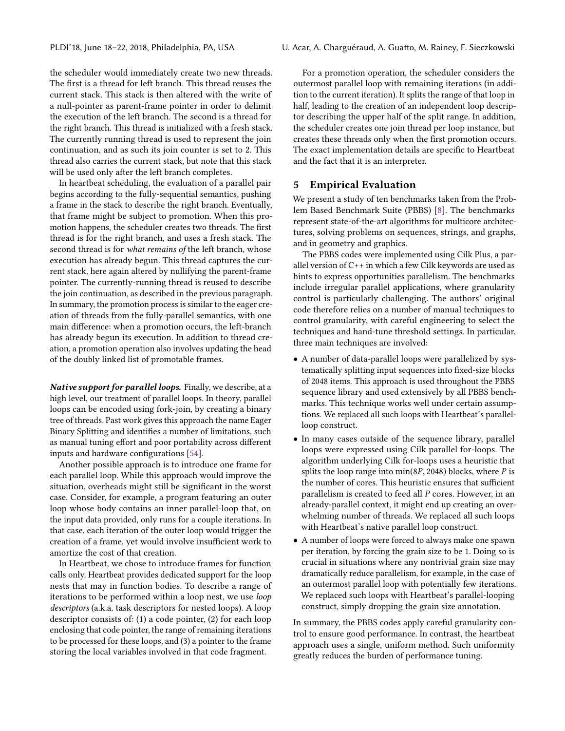the scheduler would immediately create two new threads. The first is a thread for left branch. This thread reuses the current stack. This stack is then altered with the write of a null-pointer as parent-frame pointer in order to delimit the execution of the left branch. The second is a thread for the right branch. This thread is initialized with a fresh stack. The currently running thread is used to represent the join continuation, and as such its join counter is set to 2. This thread also carries the current stack, but note that this stack will be used only after the left branch completes.

In heartbeat scheduling, the evaluation of a parallel pair begins according to the fully-sequential semantics, pushing a frame in the stack to describe the right branch. Eventually, that frame might be subject to promotion. When this promotion happens, the scheduler creates two threads. The first thread is for the right branch, and uses a fresh stack. The second thread is for what remains of the left branch, whose execution has already begun. This thread captures the current stack, here again altered by nullifying the parent-frame pointer. The currently-running thread is reused to describe the join continuation, as described in the previous paragraph. In summary, the promotion process is similar to the eager creation of threads from the fully-parallel semantics, with one main difference: when a promotion occurs, the left-branch has already begun its execution. In addition to thread creation, a promotion operation also involves updating the head of the doubly linked list of promotable frames.

Native support for parallel loops. Finally, we describe, at a high level, our treatment of parallel loops. In theory, parallel loops can be encoded using fork-join, by creating a binary tree of threads. Past work gives this approach the name Eager Binary Splitting and identifies a number of limitations, such as manual tuning effort and poor portability across different inputs and hardware configurations [\[54\]](#page-13-18).

Another possible approach is to introduce one frame for each parallel loop. While this approach would improve the situation, overheads might still be significant in the worst case. Consider, for example, a program featuring an outer loop whose body contains an inner parallel-loop that, on the input data provided, only runs for a couple iterations. In that case, each iteration of the outer loop would trigger the creation of a frame, yet would involve insufficient work to amortize the cost of that creation.

In Heartbeat, we chose to introduce frames for function calls only. Heartbeat provides dedicated support for the loop nests that may in function bodies. To describe a range of iterations to be performed within a loop nest, we use loop descriptors (a.k.a. task descriptors for nested loops). A loop descriptor consists of: (1) a code pointer, (2) for each loop enclosing that code pointer, the range of remaining iterations to be processed for these loops, and (3) a pointer to the frame storing the local variables involved in that code fragment.

For a promotion operation, the scheduler considers the outermost parallel loop with remaining iterations (in addition to the current iteration). It splits the range of that loop in half, leading to the creation of an independent loop descriptor describing the upper half of the split range. In addition, the scheduler creates one join thread per loop instance, but creates these threads only when the first promotion occurs. The exact implementation details are specific to Heartbeat and the fact that it is an interpreter.

# <span id="page-7-0"></span>5 Empirical Evaluation

We present a study of ten benchmarks taken from the Problem Based Benchmark Suite (PBBS) [\[8\]](#page-12-23). The benchmarks represent state-of-the-art algorithms for multicore architectures, solving problems on sequences, strings, and graphs, and in geometry and graphics.

The PBBS codes were implemented using Cilk Plus, a parallel version of C++ in which a few Cilk keywords are used as hints to express opportunities parallelism. The benchmarks include irregular parallel applications, where granularity control is particularly challenging. The authors' original code therefore relies on a number of manual techniques to control granularity, with careful engineering to select the techniques and hand-tune threshold settings. In particular, three main techniques are involved:

- A number of data-parallel loops were parallelized by systematically splitting input sequences into fixed-size blocks of 2048 items. This approach is used throughout the PBBS sequence library and used extensively by all PBBS benchmarks. This technique works well under certain assumptions. We replaced all such loops with Heartbeat's parallelloop construct.
- In many cases outside of the sequence library, parallel loops were expressed using Cilk parallel for-loops. The algorithm underlying Cilk for-loops uses a heuristic that splits the loop range into  $min(8P, 2048)$  blocks, where  $P$  is the number of cores. This heuristic ensures that sufficient parallelism is created to feed all P cores. However, in an already-parallel context, it might end up creating an overwhelming number of threads. We replaced all such loops with Heartbeat's native parallel loop construct.
- A number of loops were forced to always make one spawn per iteration, by forcing the grain size to be 1. Doing so is crucial in situations where any nontrivial grain size may dramatically reduce parallelism, for example, in the case of an outermost parallel loop with potentially few iterations. We replaced such loops with Heartbeat's parallel-looping construct, simply dropping the grain size annotation.

In summary, the PBBS codes apply careful granularity control to ensure good performance. In contrast, the heartbeat approach uses a single, uniform method. Such uniformity greatly reduces the burden of performance tuning.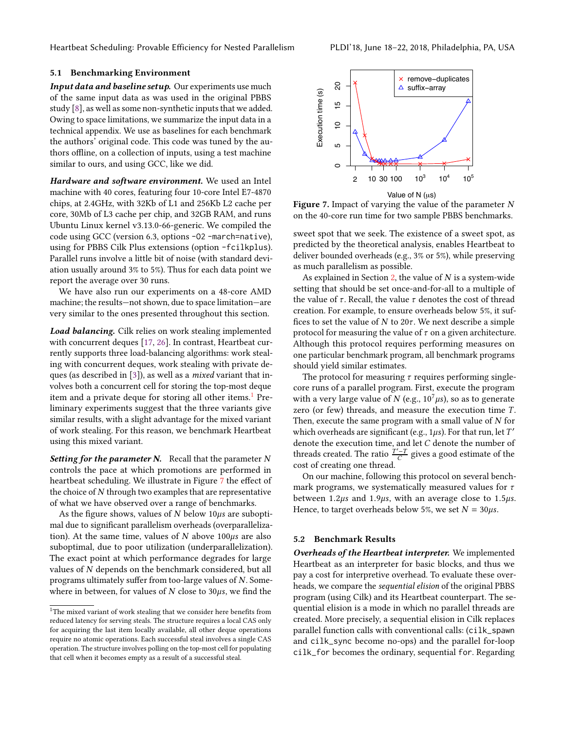Heartbeat Scheduling: Provable Efficiency for Nested Parallelism PLDI'18, June 18–22, 2018, Philadelphia, PA, USA

## 5.1 Benchmarking Environment

Input data and baseline setup. Our experiments use much of the same input data as was used in the original PBBS study [\[8\]](#page-12-23), as well as some non-synthetic inputs that we added. Owing to space limitations, we summarize the input data in a technical appendix. We use as baselines for each benchmark the authors' original code. This code was tuned by the authors offline, on a collection of inputs, using a test machine similar to ours, and using GCC, like we did.

Hardware and software environment. We used an Intel machine with 40 cores, featuring four 10-core Intel E7-4870 chips, at 2.4GHz, with 32Kb of L1 and 256Kb L2 cache per core, 30Mb of L3 cache per chip, and 32GB RAM, and runs Ubuntu Linux kernel v3.13.0-66-generic. We compiled the code using GCC (version 6.3, options -O2 -march=native), using for PBBS Cilk Plus extensions (option -fcilkplus). Parallel runs involve a little bit of noise (with standard deviation usually around 3% to 5%). Thus for each data point we report the average over 30 runs.

We have also run our experiments on a 48-core AMD machine; the results—not shown, due to space limitation—are very similar to the ones presented throughout this section.

Load balancing. Cilk relies on work stealing implemented with concurrent deques [\[17,](#page-12-28) [26\]](#page-12-0). In contrast, Heartbeat currently supports three load-balancing algorithms: work stealing with concurrent deques, work stealing with private deques (as described in [\[3\]](#page-12-9)), as well as a mixed variant that involves both a concurrent cell for storing the top-most deque item and a private deque for storing all other items.<sup>[1](#page-8-0)</sup> Preliminary experiments suggest that the three variants give similar results, with a slight advantage for the mixed variant of work stealing. For this reason, we benchmark Heartbeat using this mixed variant.

**Setting for the parameter N.** Recall that the parameter  $N$ controls the pace at which promotions are performed in heartbeat scheduling. We illustrate in Figure [7](#page-8-1) the effect of the choice of N through two examples that are representative of what we have observed over a range of benchmarks.

As the figure shows, values of  $N$  below 10 $\mu$ s are suboptimal due to significant parallelism overheads (overparallelization). At the same time, values of  $N$  above 100 $\mu$ s are also suboptimal, due to poor utilization (underparallelization). The exact point at which performance degrades for large values of N depends on the benchmark considered, but all programs ultimately suffer from too-large values of N. Somewhere in between, for values of N close to  $30\mu s$ , we find the

<span id="page-8-1"></span>

Figure 7. Impact of varying the value of the parameter  $N$ on the 40-core run time for two sample PBBS benchmarks.

sweet spot that we seek. The existence of a sweet spot, as predicted by the theoretical analysis, enables Heartbeat to deliver bounded overheads (e.g., 3% or 5%), while preserving as much parallelism as possible.

As explained in Section [2,](#page-1-0) the value of  $N$  is a system-wide setting that should be set once-and-for-all to a multiple of the value of  $\tau$ . Recall, the value  $\tau$  denotes the cost of thread creation. For example, to ensure overheads below 5%, it suffices to set the value of N to  $20\tau$ . We next describe a simple protocol for measuring the value of  $\tau$  on a given architecture. Although this protocol requires performing measures on one particular benchmark program, all benchmark programs should yield similar estimates.

The protocol for measuring  $\tau$  requires performing singlecore runs of a parallel program. First, execute the program with a very large value of  $N$  (e.g.,  $10^7 \mu s$ ), so as to generate zero (or few) threads and measure the execution time  $T$ zero (or few) threads, and measure the execution time T. Then, execute the same program with a small value of  $N$  for which overheads are significant (e.g.,  $1\mu s$ ). For that run, let  $T'$  denote the execution time, and let  $C$  denote the number of denote the execution time, and let *C* denote the number of threads created. The ratio  $\frac{T'-T}{C}$  gives a good estimate of the cost of creating one thread.

On our machine, following this protocol on several benchmark programs, we systematically measured values for  $\tau$ between 1.2 $\mu$ s and 1.9 $\mu$ s, with an average close to 1.5 $\mu$ s. Hence, to target overheads below 5%, we set  $N = 30 \mu s$ .

## 5.2 Benchmark Results

Overheads of the Heartbeat interpreter. We implemented Heartbeat as an interpreter for basic blocks, and thus we pay a cost for interpretive overhead. To evaluate these overheads, we compare the sequential elision of the original PBBS program (using Cilk) and its Heartbeat counterpart. The sequential elision is a mode in which no parallel threads are created. More precisely, a sequential elision in Cilk replaces parallel function calls with conventional calls: (cilk\_spawn and cilk\_sync become no-ops) and the parallel for-loop cilk\_for becomes the ordinary, sequential for. Regarding

<span id="page-8-0"></span><sup>&</sup>lt;sup>1</sup>The mixed variant of work stealing that we consider here benefits from reduced latency for serving steals. The structure requires a local CAS only for acquiring the last item locally available, all other deque operations require no atomic operations. Each successful steal involves a single CAS operation. The structure involves polling on the top-most cell for populating that cell when it becomes empty as a result of a successful steal.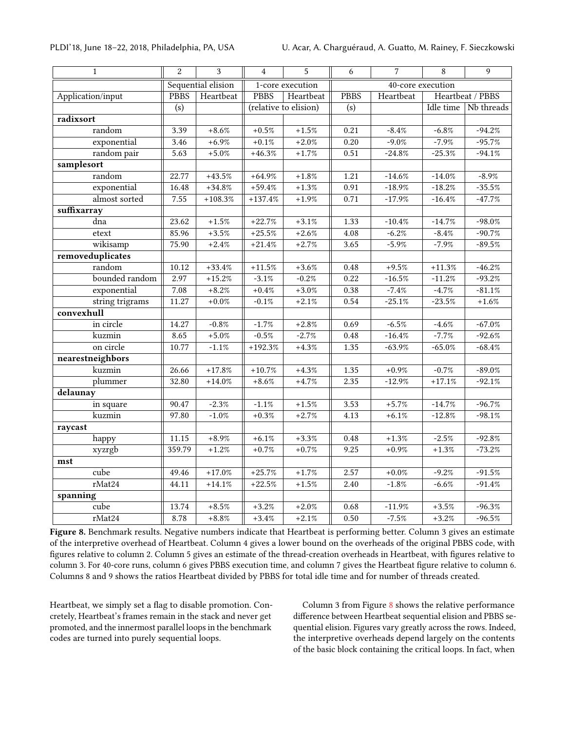<span id="page-9-0"></span>

| $\mathbf{1}$             | $\overline{2}$     | 3         | $\overline{4}$        | 5         | 6           | $\overline{7}$    | 8                | 9          |
|--------------------------|--------------------|-----------|-----------------------|-----------|-------------|-------------------|------------------|------------|
|                          | Sequential elision |           | 1-core execution      |           |             | 40-core execution |                  |            |
| Application/input        | <b>PBBS</b>        | Heartbeat |                       | Heartbeat | <b>PBBS</b> | Heartbeat         | Heartbeat / PBBS |            |
|                          | (s)                |           | (relative to elision) |           | (s)         |                   | Idle time        | Nb threads |
| radixsort                |                    |           |                       |           |             |                   |                  |            |
| random                   | 3.39               | $+8.6%$   | $+0.5%$               | $+1.5%$   | 0.21        | $-8.4%$           | $-6.8%$          | $-94.2%$   |
| exponential              | 3.46               | $+6.9%$   | $+0.1%$               | $+2.0%$   | 0.20        | $-9.0%$           | $-7.9%$          | $-95.7%$   |
| random pair              | $\overline{5.63}$  | $+5.0%$   | $+46.3%$              | $+1.7%$   | 0.51        | $-24.8%$          | $-25.3%$         | $-94.1%$   |
| samplesort               |                    |           |                       |           |             |                   |                  |            |
| random                   | 22.77              | $+43.5%$  | $+64.9%$              | $+1.8\%$  | 1.21        | $-14.6%$          | $-14.0%$         | $-8.9%$    |
| exponential              | 16.48              | $+34.8%$  | $+59.4%$              | $+1.3%$   | 0.91        | $-18.9%$          | $-18.2%$         | $-35.5%$   |
| almost sorted            | 7.55               | $+108.3%$ | $+137.4%$             | $+1.9%$   | 0.71        | $-17.9%$          | $-16.4%$         | $-47.7%$   |
| suffixarray              |                    |           |                       |           |             |                   |                  |            |
| $\overline{dn}$          | 23.62              | $+1.5%$   | $+22.7%$              | $+3.1%$   | 1.33        | $-10.4%$          | $-14.7%$         | $-98.0%$   |
| etext                    | 85.96              | $+3.5%$   | $+25.5%$              | $+2.6%$   | 4.08        | $-6.2%$           | $-8.4%$          | $-90.7%$   |
| wikisamp                 | 75.90              | $+2.4%$   | $+21.4%$              | $+2.7%$   | 3.65        | $-5.9%$           | $-7.9%$          | $-89.5%$   |
| removeduplicates         |                    |           |                       |           |             |                   |                  |            |
| random                   | 10.12              | $+33.4%$  | $+11.5\%$             | $+3.6%$   | 0.48        | $+9.5%$           | $+11.3%$         | $-46.2%$   |
| bounded random           | 2.97               | $+15.2%$  | $-3.1%$               | $-0.2%$   | 0.22        | $-16.5%$          | $-11.2%$         | $-93.2%$   |
| exponential              | 7.08               | $+8.2%$   | $+0.4%$               | $+3.0%$   | 0.38        | $-7.4%$           | $-4.7%$          | $-81.1%$   |
| string trigrams          | 11.27              | $+0.0%$   | $-0.1%$               | $+2.1%$   | 0.54        | $-25.1%$          | $-23.5%$         | $+1.6%$    |
| convexhull               |                    |           |                       |           |             |                   |                  |            |
| in circle                | 14.27              | $-0.8\%$  | $-1.7%$               | $+2.8%$   | 0.69        | $-6.5%$           | $-4.6%$          | $-67.0%$   |
| kuzmin                   | 8.65               | $+5.0%$   | $-0.5%$               | $-2.7%$   | 0.48        | $-16.4%$          | $-7.7%$          | $-92.6%$   |
| on circle                | 10.77              | $-1.1%$   | $+192.3%$             | $+4.3%$   | 1.35        | $-63.9%$          | $-65.0%$         | $-68.4%$   |
| nearestneighbors         |                    |           |                       |           |             |                   |                  |            |
| kuzmin                   | 26.66              | $+17.8%$  | $+10.7%$              | $+4.3%$   | 1.35        | $+0.9%$           | $-0.7%$          | $-89.0%$   |
| plummer                  | 32.80              | $+14.0\%$ | $+8.6%$               | $+4.7%$   | 2.35        | $-12.9%$          | $+17.1%$         | $-92.1%$   |
| delaunay                 |                    |           |                       |           |             |                   |                  |            |
| in square                | 90.47              | $-2.3%$   | $-1.1%$               | $+1.5%$   | 3.53        | $+5.7%$           | $-14.7%$         | $-96.7%$   |
| kuzmin                   | 97.80              | $-1.0%$   | $+0.3%$               | $+2.7%$   | 4.13        | $+6.1%$           | $-12.8%$         | $-98.1%$   |
| raycast                  |                    |           |                       |           |             |                   |                  |            |
| happy                    | 11.15              | $+8.9%$   | $+6.1%$               | $+3.3%$   | 0.48        | $+1.3%$           | $-2.5%$          | $-92.8%$   |
| xyzrgb                   | 359.79             | $+1.2%$   | $+0.7%$               | $+0.7%$   | 9.25        | $+0.9%$           | $+1.3%$          | $-73.2%$   |
| mst                      |                    |           |                       |           |             |                   |                  |            |
| $\overline{\text{cube}}$ | 49.46              | $+17.0%$  | $+25.7%$              | $+1.7%$   | 2.57        | $+0.0%$           | $-9.2%$          | $-91.5%$   |
| rMat24                   | 44.11              | $+14.1%$  | $+22.5%$              | $+1.5\%$  | 2.40        | $-1.8%$           | $-6.6%$          | $-91.4%$   |
| spanning                 |                    |           |                       |           |             |                   |                  |            |
| cube                     | 13.74              | $+8.5%$   | $+3.2%$               | $+2.0%$   | 0.68        | $-11.9%$          | $+3.5%$          | $-96.3%$   |
| rMat24                   | 8.78               | $+8.8%$   | $+3.4%$               | $+2.1%$   | 0.50        | $-7.5%$           | $+3.2%$          | $-96.5%$   |

Figure 8. Benchmark results. Negative numbers indicate that Heartbeat is performing better. Column 3 gives an estimate of the interpretive overhead of Heartbeat. Column 4 gives a lower bound on the overheads of the original PBBS code, with figures relative to column 2. Column 5 gives an estimate of the thread-creation overheads in Heartbeat, with figures relative to column 3. For 40-core runs, column 6 gives PBBS execution time, and column 7 gives the Heartbeat figure relative to column 6. Columns 8 and 9 shows the ratios Heartbeat divided by PBBS for total idle time and for number of threads created.

Heartbeat, we simply set a flag to disable promotion. Concretely, Heartbeat's frames remain in the stack and never get promoted, and the innermost parallel loops in the benchmark codes are turned into purely sequential loops.

Column 3 from Figure [8](#page-9-0) shows the relative performance difference between Heartbeat sequential elision and PBBS sequential elision. Figures vary greatly across the rows. Indeed, the interpretive overheads depend largely on the contents of the basic block containing the critical loops. In fact, when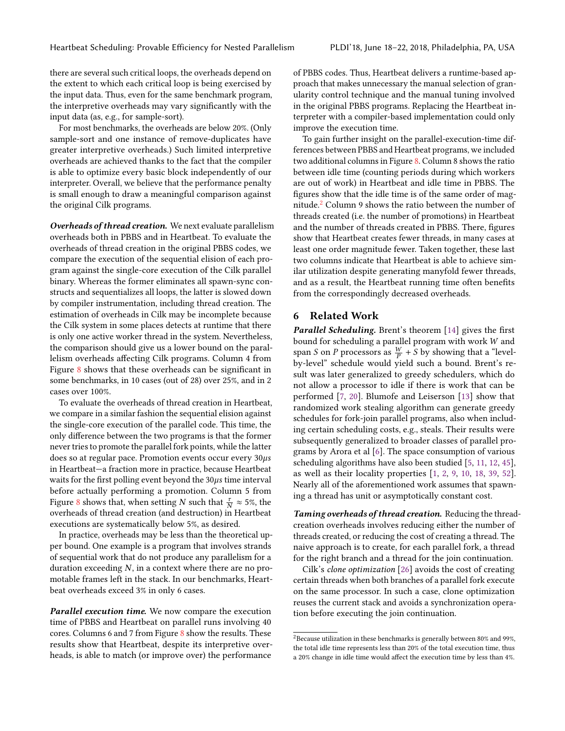there are several such critical loops, the overheads depend on the extent to which each critical loop is being exercised by the input data. Thus, even for the same benchmark program, the interpretive overheads may vary significantly with the input data (as, e.g., for sample-sort).

For most benchmarks, the overheads are below 20%. (Only sample-sort and one instance of remove-duplicates have greater interpretive overheads.) Such limited interpretive overheads are achieved thanks to the fact that the compiler is able to optimize every basic block independently of our interpreter. Overall, we believe that the performance penalty is small enough to draw a meaningful comparison against the original Cilk programs.

Overheads of thread creation. We next evaluate parallelism overheads both in PBBS and in Heartbeat. To evaluate the overheads of thread creation in the original PBBS codes, we compare the execution of the sequential elision of each program against the single-core execution of the Cilk parallel binary. Whereas the former eliminates all spawn-sync constructs and sequentializes all loops, the latter is slowed down by compiler instrumentation, including thread creation. The estimation of overheads in Cilk may be incomplete because the Cilk system in some places detects at runtime that there is only one active worker thread in the system. Nevertheless, the comparison should give us a lower bound on the parallelism overheads affecting Cilk programs. Column 4 from Figure [8](#page-9-0) shows that these overheads can be significant in some benchmarks, in 10 cases (out of 28) over 25%, and in 2 cases over 100%.

To evaluate the overheads of thread creation in Heartbeat, we compare in a similar fashion the sequential elision against the single-core execution of the parallel code. This time, the only difference between the two programs is that the former never tries to promote the parallel fork points, while the latter does so at regular pace. Promotion events occur every <sup>30</sup>µs in Heartbeat—a fraction more in practice, because Heartbeat waits for the first polling event beyond the  $30\mu s$  time interval before actually performing a promotion. Column 5 from Figure [8](#page-9-0) shows that, when setting N such that  $\frac{r}{N} \approx 5\%$ , the overheads of thread creation (and destruction) in Heartheat overheads of thread creation (and destruction) in Heartbeat executions are systematically below 5%, as desired.

In practice, overheads may be less than the theoretical upper bound. One example is a program that involves strands of sequential work that do not produce any parallelism for a duration exceeding  $N$ , in a context where there are no promotable frames left in the stack. In our benchmarks, Heartbeat overheads exceed 3% in only 6 cases.

**Parallel execution time.** We now compare the execution time of PBBS and Heartbeat on parallel runs involving 40 cores. Columns 6 and 7 from Figure [8](#page-9-0) show the results. These results show that Heartbeat, despite its interpretive overheads, is able to match (or improve over) the performance

of PBBS codes. Thus, Heartbeat delivers a runtime-based approach that makes unnecessary the manual selection of granularity control technique and the manual tuning involved in the original PBBS programs. Replacing the Heartbeat interpreter with a compiler-based implementation could only improve the execution time.

To gain further insight on the parallel-execution-time differences between PBBS and Heartbeat programs, we included two additional columns in Figure [8.](#page-9-0) Column 8 shows the ratio between idle time (counting periods during which workers are out of work) in Heartbeat and idle time in PBBS. The figures show that the idle time is of the same order of mag-nitude.<sup>[2](#page-10-0)</sup> Column 9 shows the ratio between the number of threads created (i.e. the number of promotions) in Heartbeat and the number of threads created in PBBS. There, figures show that Heartbeat creates fewer threads, in many cases at least one order magnitude fewer. Taken together, these last two columns indicate that Heartbeat is able to achieve similar utilization despite generating manyfold fewer threads, and as a result, the Heartbeat running time often benefits from the correspondingly decreased overheads.

# 6 Related Work

Parallel Scheduling. Brent's theorem [\[14\]](#page-12-29) gives the first bound for scheduling a parallel program with work W and span S on P processors as  $\frac{W}{P} + S$  by showing that a "level-<br>by-level" schedule would vield such a bound. Brent's re-P by-level" schedule would yield such a bound. Brent's result was later generalized to greedy schedulers, which do not allow a processor to idle if there is work that can be performed [\[7,](#page-12-30) [20\]](#page-12-31). Blumofe and Leiserson [\[13\]](#page-12-12) show that randomized work stealing algorithm can generate greedy schedules for fork-join parallel programs, also when including certain scheduling costs, e.g., steals. Their results were subsequently generalized to broader classes of parallel programs by Arora et al [\[6\]](#page-12-32). The space consumption of various scheduling algorithms have also been studied [\[5,](#page-12-10) [11,](#page-12-33) [12,](#page-12-34) [45\]](#page-13-6), as well as their locality properties [\[1,](#page-12-8) [2,](#page-12-35) [9,](#page-12-11) [10,](#page-12-36) [18,](#page-12-14) [39,](#page-13-19) [52\]](#page-13-20). Nearly all of the aforementioned work assumes that spawning a thread has unit or asymptotically constant cost.

Taming overheads of thread creation. Reducing the threadcreation overheads involves reducing either the number of threads created, or reducing the cost of creating a thread. The naive approach is to create, for each parallel fork, a thread for the right branch and a thread for the join continuation.

Cilk's clone optimization [\[26\]](#page-12-0) avoids the cost of creating certain threads when both branches of a parallel fork execute on the same processor. In such a case, clone optimization reuses the current stack and avoids a synchronization operation before executing the join continuation.

<span id="page-10-0"></span> $2B$ ecause utilization in these benchmarks is generally between 80% and 99%, the total idle time represents less than 20% of the total execution time, thus a 20% change in idle time would affect the execution time by less than 4%.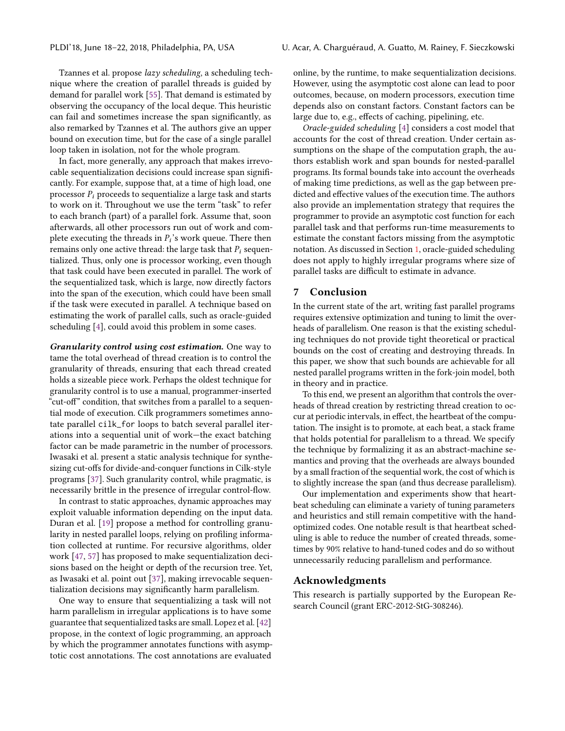Tzannes et al. propose lazy scheduling, a scheduling technique where the creation of parallel threads is guided by demand for parallel work [\[55\]](#page-13-11). That demand is estimated by observing the occupancy of the local deque. This heuristic can fail and sometimes increase the span significantly, as also remarked by Tzannes et al. The authors give an upper bound on execution time, but for the case of a single parallel loop taken in isolation, not for the whole program.

In fact, more generally, any approach that makes irrevocable sequentialization decisions could increase span significantly. For example, suppose that, at a time of high load, one processor  $P_i$  proceeds to sequentialize a large task and starts to work on it. Throughout we use the term "task" to refer to each branch (part) of a parallel fork. Assume that, soon afterwards, all other processors run out of work and complete executing the threads in  $P_i$ 's work queue. There then<br>remains only one active thread: the large task that  $P_i$  sequence remains only one active thread: the large task that  $P_i$  sequentialized. Thus, only one is processor working, even though that task could have been executed in parallel. The work of the sequentialized task, which is large, now directly factors into the span of the execution, which could have been small if the task were executed in parallel. A technique based on estimating the work of parallel calls, such as oracle-guided scheduling [\[4\]](#page-12-17), could avoid this problem in some cases.

Granularity control using cost estimation. One way to tame the total overhead of thread creation is to control the granularity of threads, ensuring that each thread created holds a sizeable piece work. Perhaps the oldest technique for granularity control is to use a manual, programmer-inserted "cut-off" condition, that switches from a parallel to a sequential mode of execution. Cilk programmers sometimes annotate parallel cilk\_for loops to batch several parallel iterations into a sequential unit of work—the exact batching factor can be made parametric in the number of processors. Iwasaki et al. present a static analysis technique for synthesizing cut-offs for divide-and-conquer functions in Cilk-style programs [\[37\]](#page-12-20). Such granularity control, while pragmatic, is necessarily brittle in the presence of irregular control-flow.

In contrast to static approaches, dynamic approaches may exploit valuable information depending on the input data. Duran et al. [\[19\]](#page-12-18) propose a method for controlling granularity in nested parallel loops, relying on profiling information collected at runtime. For recursive algorithms, older work [\[47,](#page-13-8) [57\]](#page-13-9) has proposed to make sequentialization decisions based on the height or depth of the recursion tree. Yet, as Iwasaki et al. point out [\[37\]](#page-12-20), making irrevocable sequentialization decisions may significantly harm parallelism.

One way to ensure that sequentializing a task will not harm parallelism in irregular applications is to have some guarantee that sequentialized tasks are small. Lopez et al. [\[42\]](#page-13-7) propose, in the context of logic programming, an approach by which the programmer annotates functions with asymptotic cost annotations. The cost annotations are evaluated

online, by the runtime, to make sequentialization decisions. However, using the asymptotic cost alone can lead to poor outcomes, because, on modern processors, execution time depends also on constant factors. Constant factors can be large due to, e.g., effects of caching, pipelining, etc.

Oracle-guided scheduling [\[4\]](#page-12-17) considers a cost model that accounts for the cost of thread creation. Under certain assumptions on the shape of the computation graph, the authors establish work and span bounds for nested-parallel programs. Its formal bounds take into account the overheads of making time predictions, as well as the gap between predicted and effective values of the execution time. The authors also provide an implementation strategy that requires the programmer to provide an asymptotic cost function for each parallel task and that performs run-time measurements to estimate the constant factors missing from the asymptotic notation. As discussed in Section [1,](#page-0-0) oracle-guided scheduling does not apply to highly irregular programs where size of parallel tasks are difficult to estimate in advance.

### 7 Conclusion

In the current state of the art, writing fast parallel programs requires extensive optimization and tuning to limit the overheads of parallelism. One reason is that the existing scheduling techniques do not provide tight theoretical or practical bounds on the cost of creating and destroying threads. In this paper, we show that such bounds are achievable for all nested parallel programs written in the fork-join model, both in theory and in practice.

To this end, we present an algorithm that controls the overheads of thread creation by restricting thread creation to occur at periodic intervals, in effect, the heartbeat of the computation. The insight is to promote, at each beat, a stack frame that holds potential for parallelism to a thread. We specify the technique by formalizing it as an abstract-machine semantics and proving that the overheads are always bounded by a small fraction of the sequential work, the cost of which is to slightly increase the span (and thus decrease parallelism).

Our implementation and experiments show that heartbeat scheduling can eliminate a variety of tuning parameters and heuristics and still remain competitive with the handoptimized codes. One notable result is that heartbeat scheduling is able to reduce the number of created threads, sometimes by 90% relative to hand-tuned codes and do so without unnecessarily reducing parallelism and performance.

# Acknowledgments

This research is partially supported by the European Research Council (grant ERC-2012-StG-308246).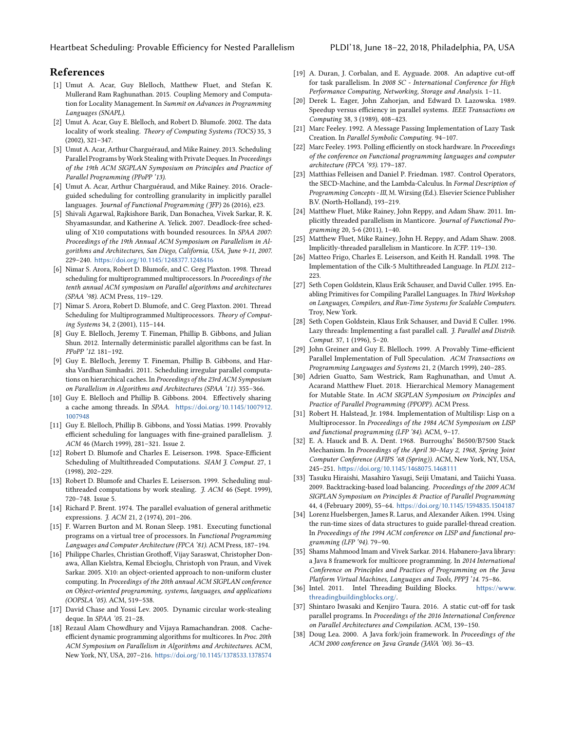# References

- <span id="page-12-8"></span>[1] Umut A. Acar, Guy Blelloch, Matthew Fluet, and Stefan K. Mullerand Ram Raghunathan. 2015. Coupling Memory and Computation for Locality Management. In Summit on Advances in Programming Languages (SNAPL).
- <span id="page-12-35"></span>[2] Umut A. Acar, Guy E. Blelloch, and Robert D. Blumofe. 2002. The data locality of work stealing. Theory of Computing Systems (TOCS) 35, 3 (2002), 321–347.
- <span id="page-12-9"></span>[3] Umut A. Acar, Arthur Charguéraud, and Mike Rainey. 2013. Scheduling Parallel Programs by Work Stealing with Private Deques. In Proceedings of the 19th ACM SIGPLAN Symposium on Principles and Practice of Parallel Programming (PPoPP '13).
- <span id="page-12-17"></span>[4] Umut A. Acar, Arthur Charguéraud, and Mike Rainey. 2016. Oracleguided scheduling for controlling granularity in implicitly parallel languages. Journal of Functional Programming (JFP) 26 (2016), e23.
- <span id="page-12-10"></span>[5] Shivali Agarwal, Rajkishore Barik, Dan Bonachea, Vivek Sarkar, R. K. Shyamasundar, and Katherine A. Yelick. 2007. Deadlock-free scheduling of X10 computations with bounded resources. In SPAA 2007: Proceedings of the 19th Annual ACM Symposium on Parallelism in Algorithms and Architectures, San Diego, California, USA, June 9-11, 2007. 229–240. <https://doi.org/10.1145/1248377.1248416>
- <span id="page-12-32"></span>[6] Nimar S. Arora, Robert D. Blumofe, and C. Greg Plaxton. 1998. Thread scheduling for multiprogrammed multiprocessors. In Proceedings of the tenth annual ACM symposium on Parallel algorithms and architectures (SPAA '98). ACM Press, 119–129.
- <span id="page-12-30"></span>[7] Nimar S. Arora, Robert D. Blumofe, and C. Greg Plaxton. 2001. Thread Scheduling for Multiprogrammed Multiprocessors. Theory of Computing Systems 34, 2 (2001), 115–144.
- <span id="page-12-23"></span>[8] Guy E. Blelloch, Jeremy T. Fineman, Phillip B. Gibbons, and Julian Shun. 2012. Internally deterministic parallel algorithms can be fast. In PPoPP '12. 181–192.
- <span id="page-12-11"></span>[9] Guy E. Blelloch, Jeremy T. Fineman, Phillip B. Gibbons, and Harsha Vardhan Simhadri. 2011. Scheduling irregular parallel computations on hierarchical caches. In Proceedings of the 23rd ACM Symposium on Parallelism in Algorithms and Architectures (SPAA '11). 355–366.
- <span id="page-12-36"></span>[10] Guy E. Blelloch and Phillip B. Gibbons. 2004. Effectively sharing a cache among threads. In SPAA. [https://doi.org/10.1145/1007912.](https://doi.org/10.1145/1007912.1007948) [1007948](https://doi.org/10.1145/1007912.1007948)
- <span id="page-12-33"></span>[11] Guy E. Blelloch, Phillip B. Gibbons, and Yossi Matias. 1999. Provably efficient scheduling for languages with fine-grained parallelism. J. ACM 46 (March 1999), 281–321. Issue 2.
- <span id="page-12-34"></span>[12] Robert D. Blumofe and Charles E. Leiserson. 1998. Space-Efficient Scheduling of Multithreaded Computations. SIAM J. Comput. 27, 1 (1998), 202–229.
- <span id="page-12-12"></span>[13] Robert D. Blumofe and Charles E. Leiserson. 1999. Scheduling multithreaded computations by work stealing. *J. ACM* 46 (Sept. 1999), 720–748. Issue 5.
- <span id="page-12-29"></span>[14] Richard P. Brent. 1974. The parallel evaluation of general arithmetic expressions. J. ACM 21, 2 (1974), 201–206.
- <span id="page-12-13"></span>[15] F. Warren Burton and M. Ronan Sleep. 1981. Executing functional programs on a virtual tree of processors. In Functional Programming Languages and Computer Architecture (FPCA '81). ACM Press, 187–194.
- <span id="page-12-4"></span>[16] Philippe Charles, Christian Grothoff, Vijay Saraswat, Christopher Donawa, Allan Kielstra, Kemal Ebcioglu, Christoph von Praun, and Vivek Sarkar. 2005. X10: an object-oriented approach to non-uniform cluster computing. In Proceedings of the 20th annual ACM SIGPLAN conference on Object-oriented programming, systems, languages, and applications (OOPSLA '05). ACM, 519–538.
- <span id="page-12-28"></span>[17] David Chase and Yossi Lev. 2005. Dynamic circular work-stealing deque. In SPAA '05. 21–28.
- <span id="page-12-14"></span>[18] Rezaul Alam Chowdhury and Vijaya Ramachandran. 2008. Cacheefficient dynamic programming algorithms for multicores. In Proc. 20th ACM Symposium on Parallelism in Algorithms and Architectures. ACM, New York, NY, USA, 207–216. <https://doi.org/10.1145/1378533.1378574>
- <span id="page-12-18"></span>[19] A. Duran, J. Corbalan, and E. Ayguade. 2008. An adaptive cut-off for task parallelism. In 2008 SC - International Conference for High Performance Computing, Networking, Storage and Analysis. 1–11.
- <span id="page-12-31"></span>[20] Derek L. Eager, John Zahorjan, and Edward D. Lazowska. 1989. Speedup versus efficiency in parallel systems. IEEE Transactions on Computing 38, 3 (1989), 408–423.
- <span id="page-12-26"></span>[21] Marc Feeley. 1992. A Message Passing Implementation of Lazy Task Creation. In Parallel Symbolic Computing. 94–107.
- <span id="page-12-27"></span>[22] Marc Feeley. 1993. Polling efficiently on stock hardware. In Proceedings of the conference on Functional programming languages and computer architecture (FPCA '93). 179–187.
- <span id="page-12-25"></span>[23] Matthias Felleisen and Daniel P. Friedman. 1987. Control Operators, the SECD-Machine, and the Lambda-Calculus. In Formal Description of Programming Concepts - III, M. Wirsing (Ed.). Elsevier Science Publisher B.V. (North-Holland), 193–219.
- <span id="page-12-5"></span>[24] Matthew Fluet, Mike Rainey, John Reppy, and Adam Shaw. 2011. Implicitly threaded parallelism in Manticore. Journal of Functional Programming 20, 5-6 (2011), 1–40.
- <span id="page-12-6"></span>[25] Matthew Fluet, Mike Rainey, John H. Reppy, and Adam Shaw. 2008. Implicitly-threaded parallelism in Manticore. In ICFP. 119–130.
- <span id="page-12-0"></span>[26] Matteo Frigo, Charles E. Leiserson, and Keith H. Randall. 1998. The Implementation of the Cilk-5 Multithreaded Language. In PLDI. 212– 223.
- [27] Seth Copen Goldstein, Klaus Erik Schauser, and David Culler. 1995. Enabling Primitives for Compiling Parallel Languages. In Third Workshop on Languages, Compilers, and Run-Time Systems for Scalable Computers. Troy, New York.
- <span id="page-12-21"></span>[28] Seth Copen Goldstein, Klaus Erik Schauser, and David E Culler. 1996. Lazy threads: Implementing a fast parallel call. J. Parallel and Distrib. Comput. 37, 1 (1996), 5–20.
- <span id="page-12-15"></span>[29] John Greiner and Guy E. Blelloch. 1999. A Provably Time-efficient Parallel Implementation of Full Speculation. ACM Transactions on Programming Languages and Systems 21, 2 (March 1999), 240–285.
- <span id="page-12-7"></span>[30] Adrien Guatto, Sam Westrick, Ram Raghunathan, and Umut A. Acarand Matthew Fluet. 2018. Hierarchical Memory Management for Mutable State. In ACM SIGPLAN Symposium on Principles and Practice of Parallel Programming (PPOPP). ACM Press.
- <span id="page-12-16"></span>[31] Robert H. Halstead, Jr. 1984. Implementation of Multilisp: Lisp on a Multiprocessor. In Proceedings of the 1984 ACM Symposium on LISP and functional programming (LFP '84). ACM, 9–17.
- <span id="page-12-24"></span>[32] E. A. Hauck and B. A. Dent. 1968. Burroughs' B6500/B7500 Stack Mechanism. In Proceedings of the April 30–May 2, 1968, Spring Joint Computer Conference (AFIPS '68 (Spring)). ACM, New York, NY, USA, 245–251. <https://doi.org/10.1145/1468075.1468111>
- <span id="page-12-22"></span>[33] Tasuku Hiraishi, Masahiro Yasugi, Seiji Umatani, and Taiichi Yuasa. 2009. Backtracking-based load balancing. Proceedings of the 2009 ACM SIGPLAN Symposium on Principles & Practice of Parallel Programming 44, 4 (February 2009), 55–64. <https://doi.org/10.1145/1594835.1504187>
- <span id="page-12-19"></span>[34] Lorenz Huelsbergen, James R. Larus, and Alexander Aiken. 1994. Using the run-time sizes of data structures to guide parallel-thread creation. In Proceedings of the 1994 ACM conference on LISP and functional programming (LFP '94). 79–90.
- <span id="page-12-2"></span>[35] Shams Mahmood Imam and Vivek Sarkar. 2014. Habanero-Java library: a Java 8 framework for multicore programming. In 2014 International Conference on Principles and Practices of Programming on the Java Platform Virtual Machines, Languages and Tools, PPPJ '14. 75–86.
- <span id="page-12-3"></span>[36] Intel. 2011. Intel Threading Building Blocks. [https://www.](https://www.threadingbuildingblocks.org/) [threadingbuildingblocks.org/](https://www.threadingbuildingblocks.org/).
- <span id="page-12-20"></span>[37] Shintaro Iwasaki and Kenjiro Taura. 2016. A static cut-off for task parallel programs. In Proceedings of the 2016 International Conference on Parallel Architectures and Compilation. ACM, 139–150.
- <span id="page-12-1"></span>[38] Doug Lea. 2000. A Java fork/join framework. In Proceedings of the ACM 2000 conference on Java Grande (JAVA '00). 36–43.